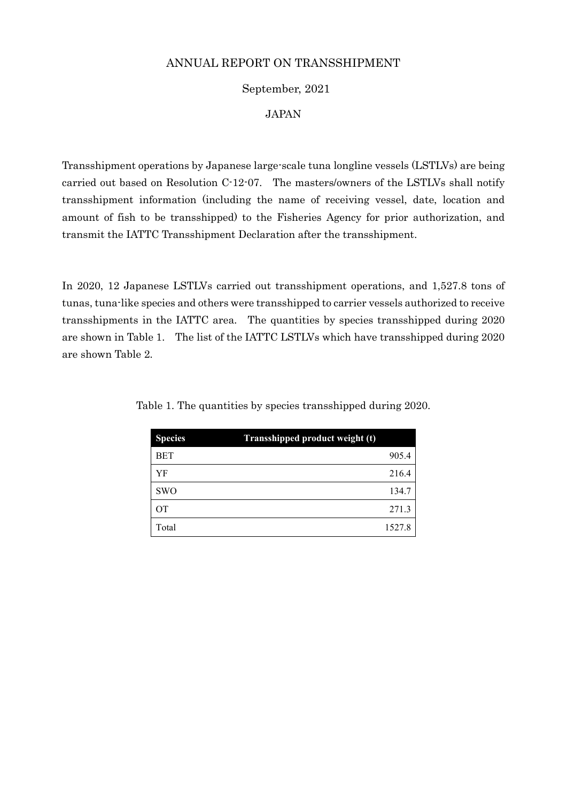#### September, 2021

#### JAPAN

Transshipment operations by Japanese large-scale tuna longline vessels (LSTLVs) are being carried out based on Resolution C-12-07. The masters/owners of the LSTLVs shall notify transshipment information (including the name of receiving vessel, date, location and amount of fish to be transshipped) to the Fisheries Agency for prior authorization, and transmit the IATTC Transshipment Declaration after the transshipment.

In 2020, 12 Japanese LSTLVs carried out transshipment operations, and 1,527.8 tons of tunas, tuna-like species and others were transshipped to carrier vessels authorized to receive transshipments in the IATTC area. The quantities by species transshipped during 2020 are shown in Table 1. The list of the IATTC LSTLVs which have transshipped during 2020 are shown Table 2.

| <b>Species</b> | Transshipped product weight (t) |        |
|----------------|---------------------------------|--------|
| <b>BET</b>     |                                 | 905.4  |
| YF             |                                 | 216.4  |
| <b>SWO</b>     |                                 | 134.7  |
| OT             |                                 | 271.3  |
| Total          |                                 | 1527.8 |

Table 1. The quantities by species transshipped during 2020.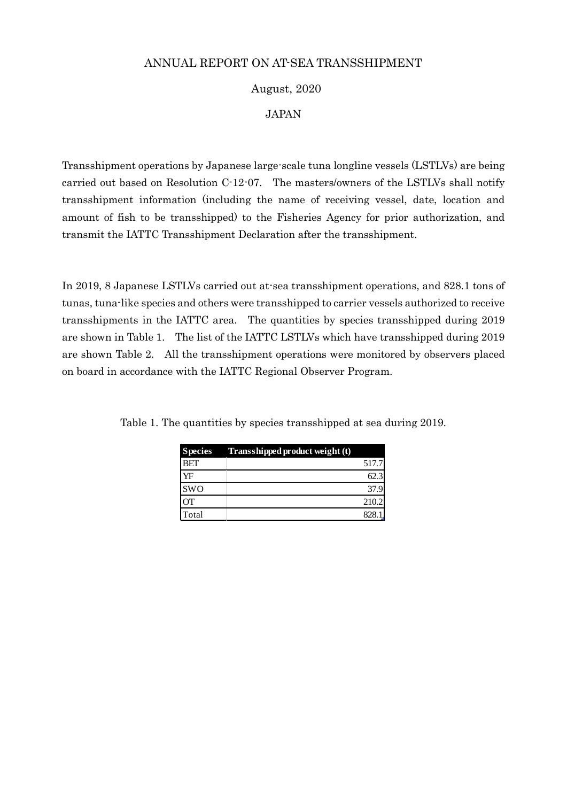## ANNUAL REPORT ON AT-SEA TRANSSHIPMENT

# August, 2020

### JAPAN

Transshipment operations by Japanese large-scale tuna longline vessels (LSTLVs) are being carried out based on Resolution C-12-07. The masters/owners of the LSTLVs shall notify transshipment information (including the name of receiving vessel, date, location and amount of fish to be transshipped) to the Fisheries Agency for prior authorization, and transmit the IATTC Transshipment Declaration after the transshipment.

In 2019, 8 Japanese LSTLVs carried out at-sea transshipment operations, and 828.1 tons of tunas, tuna-like species and others were transshipped to carrier vessels authorized to receive transshipments in the IATTC area. The quantities by species transshipped during 2019 are shown in Table 1. The list of the IATTC LSTLVs which have transshipped during 2019 are shown Table 2. All the transshipment operations were monitored by observers placed on board in accordance with the IATTC Regional Observer Program.

|            | Species Transshipped product weight (t) |       |
|------------|-----------------------------------------|-------|
| <b>BET</b> |                                         | 517.7 |
| YF         |                                         | 62.3  |
| <b>SWO</b> |                                         | 37.9  |
| OТ         |                                         | 210.2 |
| Total      |                                         | 828   |

Table 1. The quantities by species transshipped at sea during 2019.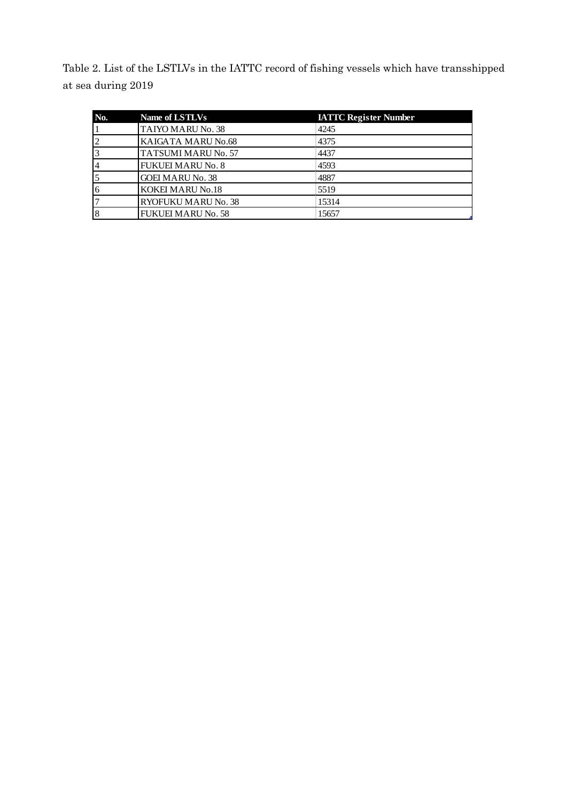Table 2. List of the LSTLVs in the IATTC record of fishing vessels which have transshipped at sea during 2019

| No. | Name of LSTLVs            | <b>IATTC Register Number</b> |
|-----|---------------------------|------------------------------|
|     | TAIYO MARU No. 38         | 4245                         |
|     | KAIGATA MARU No.68        | 4375                         |
|     | TATSUMI MARU No. 57       | 4437                         |
|     | <b>FUKUEI MARU No. 8</b>  | 4593                         |
|     | <b>GOEI MARU No. 38</b>   | 4887                         |
|     | <b>KOKEI MARU No.18</b>   | 5519                         |
|     | RYOFUKU MARU No. 38       | 15314                        |
|     | <b>FUKUEI MARU No. 58</b> | 15657                        |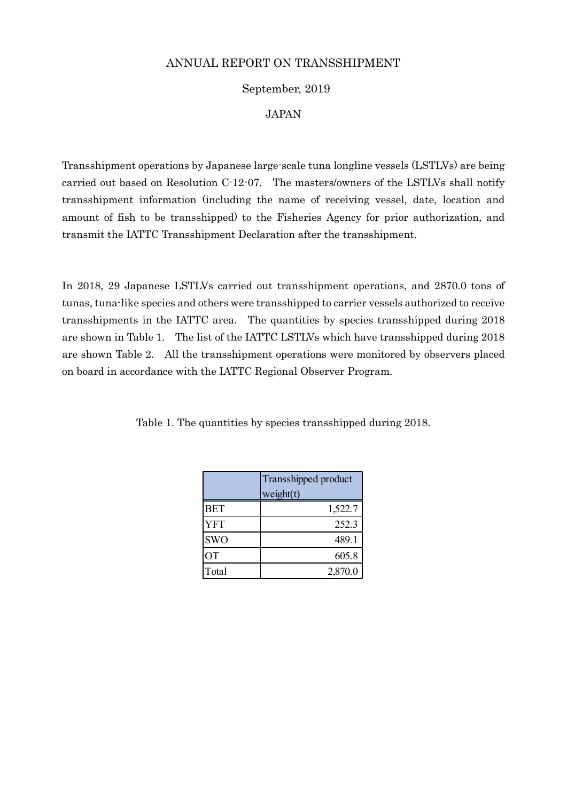### September, 2019

#### JAPAN

Transshipment operations by Japanese large-scale tuna longline vessels (LSTLVs) are being carried out based on Resolution C-12-07. The masters/owners of the LSTLVs shall notify transshipment information (including the name of receiving vessel, date, location and amount of fish to be transshipped) to the Fisheries Agency for prior authorization, and transmit the IATTC Transshipment Declaration after the transshipment.

In 2018, 29 Japanese LSTLVs carried out transshipment operations, and 2870.0 tons of tunas, tuna-like species and others were transshipped to carrier vessels authorized to receive transshipments in the IATTC area. The quantities by species transshipped during 2018 are shown in Table 1. The list of the IATTC LSTLVs which have transshipped during 2018 are shown Table 2. All the transshipment operations were monitored by observers placed on board in accordance with the IATTC Regional Observer Program.

|            | Transshipped product<br>weight(t) |  |
|------------|-----------------------------------|--|
| <b>BET</b> | 1,522.7                           |  |
| YFT        | 252.3                             |  |
| <b>SWO</b> | 489.1                             |  |
| <b>OT</b>  | 605.8                             |  |
| Total      | 2,870.0                           |  |

Table 1. The quantities by species transshipped during 2018.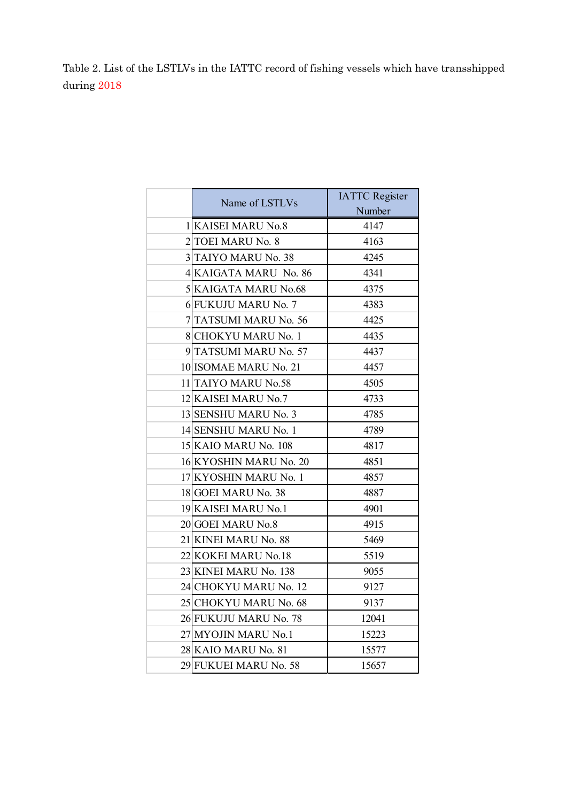Table 2. List of the LSTLVs in the IATTC record of fishing vessels which have transshipped during 2018

| Name of LSTLVs         | <b>IATTC Register</b> |
|------------------------|-----------------------|
|                        | Number                |
| 1 KAISEI MARU No.8     | 4147                  |
| 2 TOEI MARU No. 8      | 4163                  |
| 3 TAIYO MARU No. 38    | 4245                  |
| 4 KAIGATA MARU No. 86  | 4341                  |
| 5 KAIGATA MARU No.68   | 4375                  |
| 6 FUKUJU MARU No. 7    | 4383                  |
| 7 TATSUMI MARU No. 56  | 4425                  |
| 8 CHOKYU MARU No. 1    | 4435                  |
| 9 TATSUMI MARU No. 57  | 4437                  |
| 10 ISOMAE MARU No. 21  | 4457                  |
| 11 TAIYO MARU No.58    | 4505                  |
| 12 KAISEI MARU No.7    | 4733                  |
| 13 SENSHU MARU No. 3   | 4785                  |
| 14 SENSHU MARU No. 1   | 4789                  |
| 15 KAIO MARU No. 108   | 4817                  |
| 16 KYOSHIN MARU No. 20 | 4851                  |
| 17 KYOSHIN MARU No. 1  | 4857                  |
| 18 GOEI MARU No. 38    | 4887                  |
| 19 KAISEI MARU No.1    | 4901                  |
| 20 GOEI MARU No.8      | 4915                  |
| 21 KINEI MARU No. 88   | 5469                  |
| 22 KOKEI MARU No.18    | 5519                  |
| 23 KINEI MARU No. 138  | 9055                  |
| 24 CHOKYU MARU No. 12  | 9127                  |
| 25 CHOKYU MARU No. 68  | 9137                  |
| 26 FUKUJU MARU No. 78  | 12041                 |
| 27 MYOJIN MARU No.1    | 15223                 |
| 28 KAIO MARU No. 81    | 15577                 |
| 29 FUKUEI MARU No. 58  | 15657                 |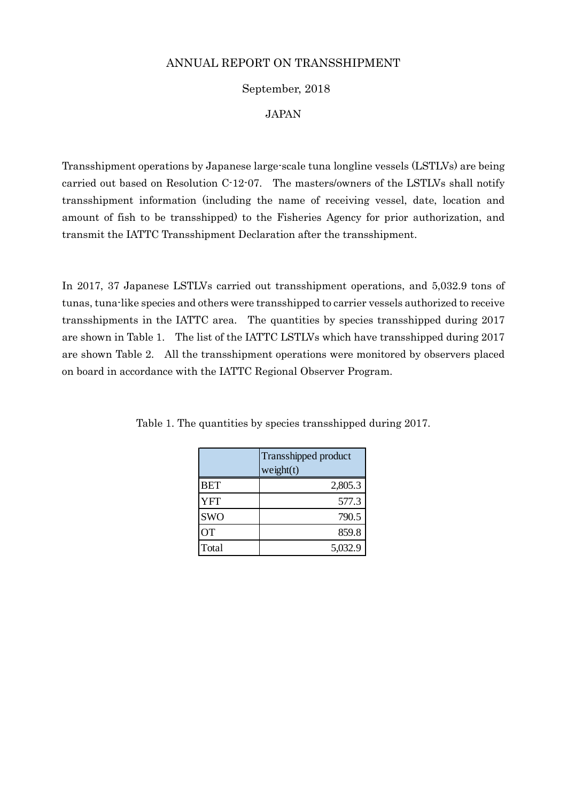### September, 2018

#### JAPAN

Transshipment operations by Japanese large-scale tuna longline vessels (LSTLVs) are being carried out based on Resolution C-12-07. The masters/owners of the LSTLVs shall notify transshipment information (including the name of receiving vessel, date, location and amount of fish to be transshipped) to the Fisheries Agency for prior authorization, and transmit the IATTC Transshipment Declaration after the transshipment.

In 2017, 37 Japanese LSTLVs carried out transshipment operations, and 5,032.9 tons of tunas, tuna-like species and others were transshipped to carrier vessels authorized to receive transshipments in the IATTC area. The quantities by species transshipped during 2017 are shown in Table 1. The list of the IATTC LSTLVs which have transshipped during 2017 are shown Table 2. All the transshipment operations were monitored by observers placed on board in accordance with the IATTC Regional Observer Program.

|            | Transshipped product<br>weight(t) |  |
|------------|-----------------------------------|--|
| <b>BET</b> | 2,805.3                           |  |
| <b>YFT</b> | 577.3                             |  |
| <b>SWO</b> | 790.5                             |  |
| ОT         | 859.8                             |  |
| Total      | 5,032.9                           |  |

Table 1. The quantities by species transshipped during 2017.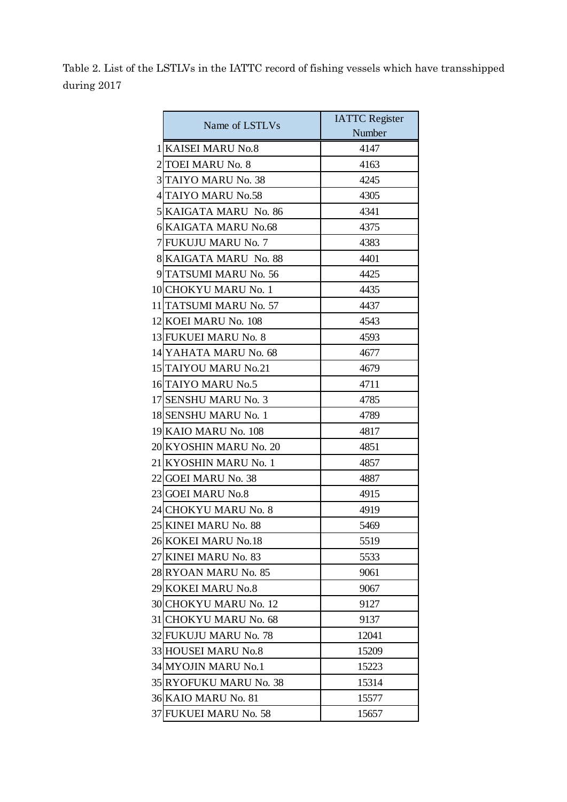Table 2. List of the LSTLVs in the IATTC record of fishing vessels which have transshipped during 2017

|                | Name of LSTLVs             | <b>IATTC</b> Register |
|----------------|----------------------------|-----------------------|
|                |                            | Number                |
| 1              | <b>KAISEI MARU No.8</b>    | 4147                  |
| 2              | <b>TOEI MARU No. 8</b>     | 4163                  |
| $\overline{3}$ | <b>TAIYO MARU No. 38</b>   | 4245                  |
| 41             | <b>TAIYO MARU No.58</b>    | 4305                  |
| $\mathfrak{H}$ | <b>KAIGATA MARU No. 86</b> | 4341                  |
|                | 6 KAIGATA MARU No.68       | 4375                  |
| 7              | <b>FUKUJU MARU No. 7</b>   | 4383                  |
|                | 8 KAIGATA MARU No. 88      | 4401                  |
| 9              | <b>TATSUMI MARU No. 56</b> | 4425                  |
|                | 10 CHOKYU MARU No. 1       | 4435                  |
|                | 11 TATSUMI MARU No. 57     | 4437                  |
|                | 12 KOEI MARU No. 108       | 4543                  |
|                | 13 FUKUEI MARU No. 8       | 4593                  |
|                | 14 YAHATA MARU No. 68      | 4677                  |
|                | 15 TAIYOU MARU No.21       | 4679                  |
|                | 16 TAIYO MARU No.5         | 4711                  |
|                | 17 SENSHU MARU No. 3       | 4785                  |
|                | 18 SENSHU MARU No. 1       | 4789                  |
|                | 19 KAIO MARU No. 108       | 4817                  |
|                | 20 KYOSHIN MARU No. 20     | 4851                  |
|                | 21 KYOSHIN MARU No. 1      | 4857                  |
| 22             | <b>GOEI MARU No. 38</b>    | 4887                  |
|                | 23 GOEI MARU No.8          | 4915                  |
|                | 24 CHOKYU MARU No. 8       | 4919                  |
|                | 25 KINEI MARU No. 88       | 5469                  |
|                | 26 KOKEI MARU No.18        | 5519                  |
|                | 27 KINEI MARU No. 83       | 5533                  |
|                | 28 RYOAN MARU No. 85       | 9061                  |
|                | 29 KOKEI MARU No.8         | 9067                  |
|                | 30 CHOKYU MARU No. 12      | 9127                  |
| 31             | <b>CHOKYU MARU No. 68</b>  | 9137                  |
|                | 32 FUKUJU MARU No. 78      | 12041                 |
|                | 33 HOUSEI MARU No.8        | 15209                 |
|                | 34 MYOJIN MARU No.1        | 15223                 |
|                | 35 RYOFUKU MARU No. 38     | 15314                 |
|                | 36 KAIO MARU No. 81        | 15577                 |
| 37             | <b>FUKUEI MARU No. 58</b>  | 15657                 |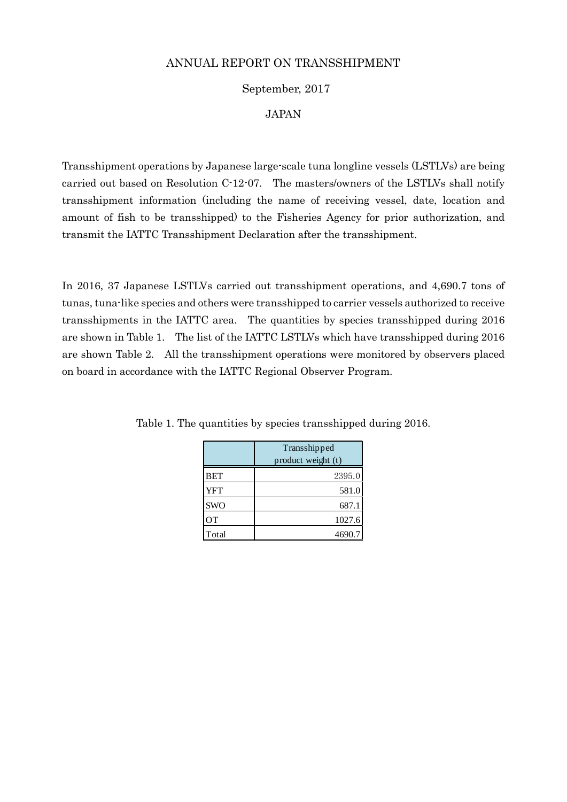### September, 2017

#### JAPAN

Transshipment operations by Japanese large-scale tuna longline vessels (LSTLVs) are being carried out based on Resolution C-12-07. The masters/owners of the LSTLVs shall notify transshipment information (including the name of receiving vessel, date, location and amount of fish to be transshipped) to the Fisheries Agency for prior authorization, and transmit the IATTC Transshipment Declaration after the transshipment.

In 2016, 37 Japanese LSTLVs carried out transshipment operations, and 4,690.7 tons of tunas, tuna-like species and others were transshipped to carrier vessels authorized to receive transshipments in the IATTC area. The quantities by species transshipped during 2016 are shown in Table 1. The list of the IATTC LSTLVs which have transshipped during 2016 are shown Table 2. All the transshipment operations were monitored by observers placed on board in accordance with the IATTC Regional Observer Program.

|            | Transshipped<br>product weight (t) |
|------------|------------------------------------|
| <b>BET</b> | 2395.0                             |
| <b>YFT</b> | 581.0                              |
| <b>SWO</b> | 687.1                              |
| <b>OT</b>  | 1027.6                             |
| Total      | 4690.7                             |

Table 1. The quantities by species transshipped during 2016.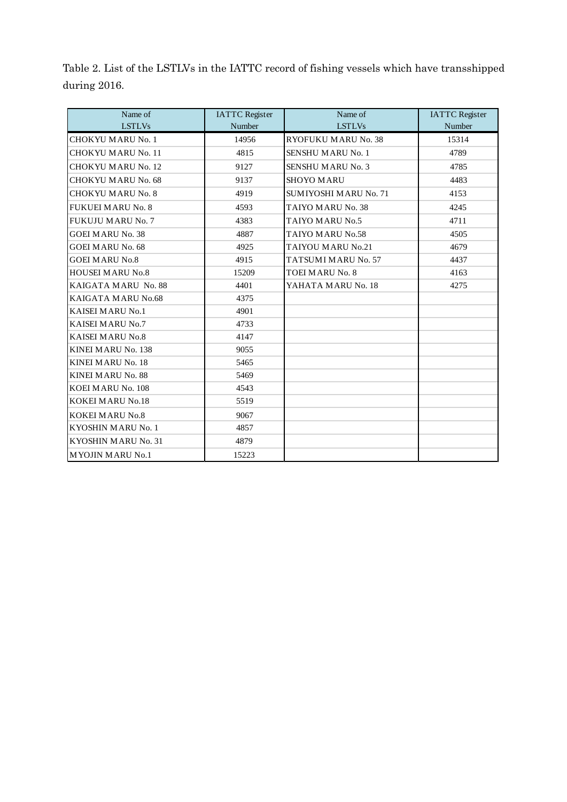Table 2. List of the LSTLVs in the IATTC record of fishing vessels which have transshipped during 2016.

| Name of                   | <b>IATTC</b> Register | Name of                      | <b>IATTC</b> Register |
|---------------------------|-----------------------|------------------------------|-----------------------|
| <b>LSTLVs</b>             | Number                | <b>LSTLVs</b>                | Number                |
| <b>CHOKYU MARU No. 1</b>  | 14956                 | <b>RYOFUKU MARU No. 38</b>   | 15314                 |
| <b>CHOKYU MARU No. 11</b> | 4815                  | <b>SENSHU MARU No. 1</b>     | 4789                  |
| CHOKYU MARU No. 12        | 9127                  | <b>SENSHU MARU No. 3</b>     | 4785                  |
| <b>CHOKYU MARU No. 68</b> | 9137                  | <b>SHOYO MARU</b>            | 4483                  |
| <b>CHOKYU MARU No. 8</b>  | 4919                  | <b>SUMIYOSHI MARU No. 71</b> | 4153                  |
| <b>FUKUEI MARU No. 8</b>  | 4593                  | TAIYO MARU No. 38            | 4245                  |
| <b>FUKUJU MARU No. 7</b>  | 4383                  | TAIYO MARU No.5              | 4711                  |
| <b>GOEI MARU No. 38</b>   | 4887                  | TAIYO MARU No.58             | 4505                  |
| <b>GOEI MARU No. 68</b>   | 4925                  | TAIYOU MARU No.21            | 4679                  |
| <b>GOEI MARU No.8</b>     | 4915                  | TATSUMI MARU No. 57          | 4437                  |
| <b>HOUSEI MARU No.8</b>   | 15209                 | <b>TOEI MARU No. 8</b>       | 4163                  |
| KAIGATA MARU No. 88       | 4401                  | YAHATA MARU No. 18           | 4275                  |
| KAIGATA MARU No.68        | 4375                  |                              |                       |
| <b>KAISEI MARU No.1</b>   | 4901                  |                              |                       |
| <b>KAISEI MARU No.7</b>   | 4733                  |                              |                       |
| <b>KAISEI MARU No.8</b>   | 4147                  |                              |                       |
| KINEI MARU No. 138        | 9055                  |                              |                       |
| <b>KINEI MARU No. 18</b>  | 5465                  |                              |                       |
| <b>KINEI MARU No. 88</b>  | 5469                  |                              |                       |
| KOEI MARU No. 108         | 4543                  |                              |                       |
| <b>KOKEI MARU No.18</b>   | 5519                  |                              |                       |
| <b>KOKEI MARU No.8</b>    | 9067                  |                              |                       |
| KYOSHIN MARU No. 1        | 4857                  |                              |                       |
| KYOSHIN MARU No. 31       | 4879                  |                              |                       |
| <b>MYOJIN MARU No.1</b>   | 15223                 |                              |                       |